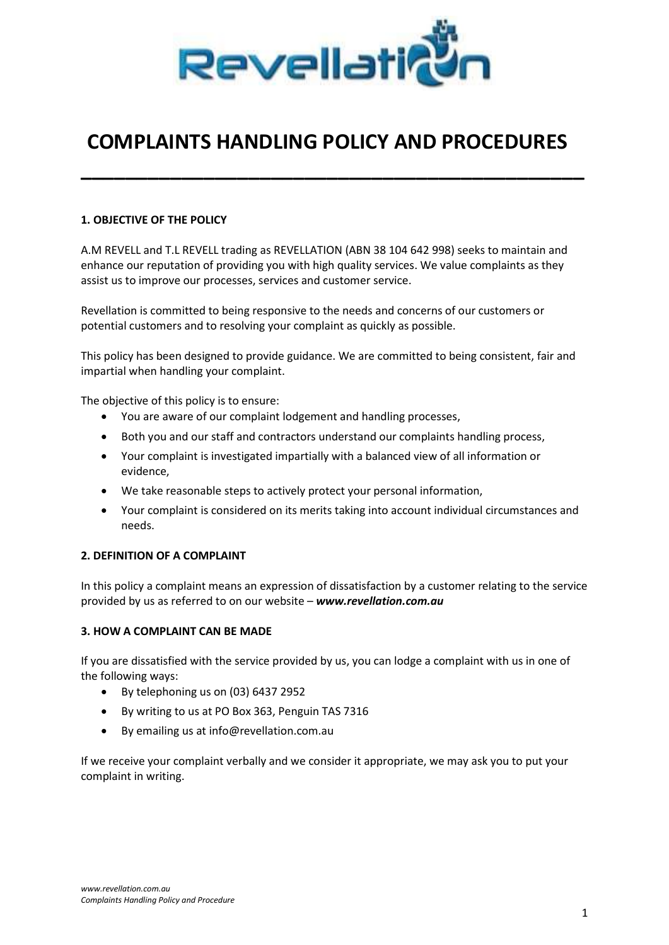

# COMPLAINTS HANDLING POLICY AND PROCEDURES

\_\_\_\_\_\_\_\_\_\_\_\_\_\_\_\_\_\_\_\_\_\_\_\_\_\_\_\_\_\_\_\_\_\_\_\_\_\_\_\_\_\_\_\_\_

# 1. OBJECTIVE OF THE POLICY

A.M REVELL and T.L REVELL trading as REVELLATION (ABN 38 104 642 998) seeks to maintain and enhance our reputation of providing you with high quality services. We value complaints as they assist us to improve our processes, services and customer service.

Revellation is committed to being responsive to the needs and concerns of our customers or potential customers and to resolving your complaint as quickly as possible.

This policy has been designed to provide guidance. We are committed to being consistent, fair and impartial when handling your complaint.

The objective of this policy is to ensure:

- You are aware of our complaint lodgement and handling processes,
- Both you and our staff and contractors understand our complaints handling process,
- Your complaint is investigated impartially with a balanced view of all information or evidence,
- We take reasonable steps to actively protect your personal information,
- Your complaint is considered on its merits taking into account individual circumstances and needs.

# 2. DEFINITION OF A COMPLAINT

In this policy a complaint means an expression of dissatisfaction by a customer relating to the service provided by us as referred to on our website – www.revellation.com.au

# 3. HOW A COMPLAINT CAN BE MADE

If you are dissatisfied with the service provided by us, you can lodge a complaint with us in one of the following ways:

- By telephoning us on (03) 6437 2952
- By writing to us at PO Box 363, Penguin TAS 7316
- By emailing us at info@revellation.com.au

If we receive your complaint verbally and we consider it appropriate, we may ask you to put your complaint in writing.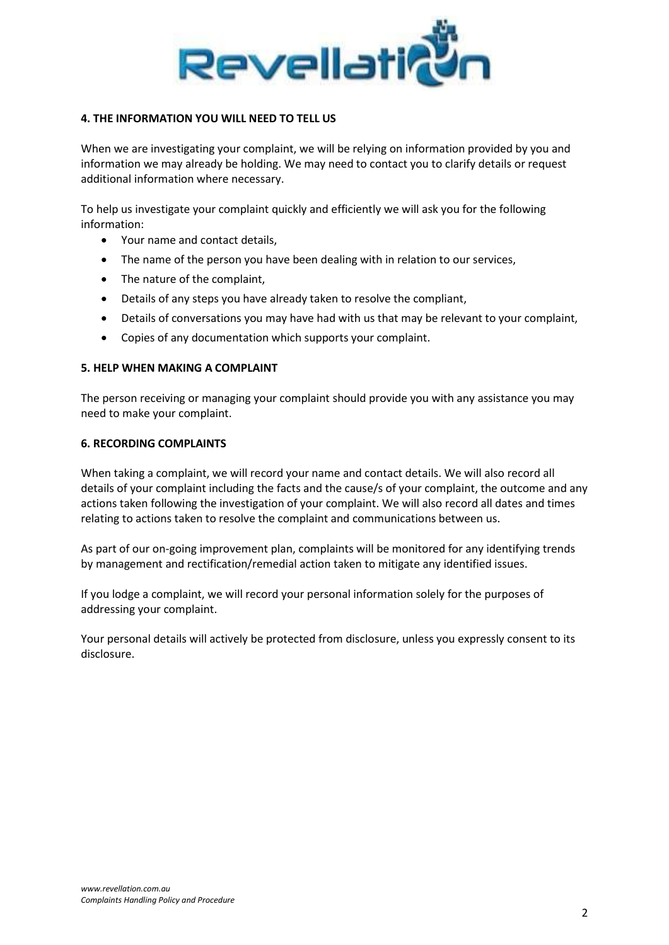

# 4. THE INFORMATION YOU WILL NEED TO TELL US

When we are investigating your complaint, we will be relying on information provided by you and information we may already be holding. We may need to contact you to clarify details or request additional information where necessary.

To help us investigate your complaint quickly and efficiently we will ask you for the following information:

- Your name and contact details,
- The name of the person you have been dealing with in relation to our services,
- The nature of the complaint,
- Details of any steps you have already taken to resolve the compliant,
- Details of conversations you may have had with us that may be relevant to your complaint,
- Copies of any documentation which supports your complaint.

#### 5. HELP WHEN MAKING A COMPLAINT

The person receiving or managing your complaint should provide you with any assistance you may need to make your complaint.

#### 6. RECORDING COMPLAINTS

When taking a complaint, we will record your name and contact details. We will also record all details of your complaint including the facts and the cause/s of your complaint, the outcome and any actions taken following the investigation of your complaint. We will also record all dates and times relating to actions taken to resolve the complaint and communications between us.

As part of our on-going improvement plan, complaints will be monitored for any identifying trends by management and rectification/remedial action taken to mitigate any identified issues.

If you lodge a complaint, we will record your personal information solely for the purposes of addressing your complaint.

Your personal details will actively be protected from disclosure, unless you expressly consent to its disclosure.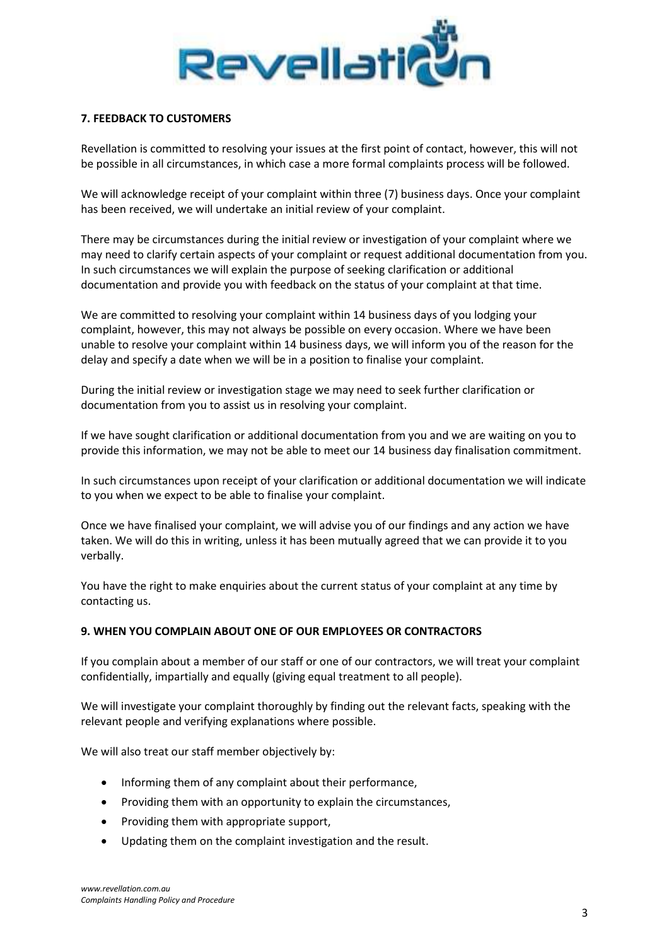

# 7. FEEDBACK TO CUSTOMERS

Revellation is committed to resolving your issues at the first point of contact, however, this will not be possible in all circumstances, in which case a more formal complaints process will be followed.

We will acknowledge receipt of your complaint within three (7) business days. Once your complaint has been received, we will undertake an initial review of your complaint.

There may be circumstances during the initial review or investigation of your complaint where we may need to clarify certain aspects of your complaint or request additional documentation from you. In such circumstances we will explain the purpose of seeking clarification or additional documentation and provide you with feedback on the status of your complaint at that time.

We are committed to resolving your complaint within 14 business days of you lodging your complaint, however, this may not always be possible on every occasion. Where we have been unable to resolve your complaint within 14 business days, we will inform you of the reason for the delay and specify a date when we will be in a position to finalise your complaint.

During the initial review or investigation stage we may need to seek further clarification or documentation from you to assist us in resolving your complaint.

If we have sought clarification or additional documentation from you and we are waiting on you to provide this information, we may not be able to meet our 14 business day finalisation commitment.

In such circumstances upon receipt of your clarification or additional documentation we will indicate to you when we expect to be able to finalise your complaint.

Once we have finalised your complaint, we will advise you of our findings and any action we have taken. We will do this in writing, unless it has been mutually agreed that we can provide it to you verbally.

You have the right to make enquiries about the current status of your complaint at any time by contacting us.

# 9. WHEN YOU COMPLAIN ABOUT ONE OF OUR EMPLOYEES OR CONTRACTORS

If you complain about a member of our staff or one of our contractors, we will treat your complaint confidentially, impartially and equally (giving equal treatment to all people).

We will investigate your complaint thoroughly by finding out the relevant facts, speaking with the relevant people and verifying explanations where possible.

We will also treat our staff member objectively by:

- Informing them of any complaint about their performance,
- Providing them with an opportunity to explain the circumstances,
- Providing them with appropriate support,
- Updating them on the complaint investigation and the result.